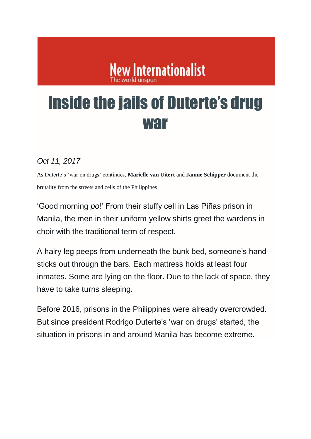# **New Internationalist**

# Inside the jails of Duterte's drug war

#### *Oct 11, 2017*

As Duterte's 'war on drugs' continues, **Marielle van Uitert** and **Jannie Schipper** document the brutality from the streets and cells of the Philippines

'Good morning *po*!' From their stuffy cell in Las Piñas prison in Manila, the men in their uniform yellow shirts greet the wardens in choir with the traditional term of respect.

A hairy leg peeps from underneath the bunk bed, someone's hand sticks out through the bars. Each mattress holds at least four inmates. Some are lying on the floor. Due to the lack of space, they have to take turns sleeping.

Before 2016, prisons in the Philippines were already overcrowded. But since president Rodrigo Duterte's 'war on drugs' started, the situation in prisons in and around Manila has become extreme.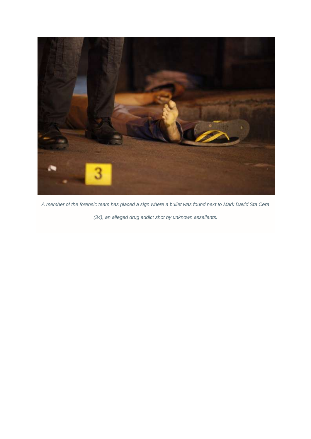

*A member of the forensic team has placed a sign where a bullet was found next to Mark David Sta Cera* 

*(34), an alleged drug addict shot by unknown assailants.*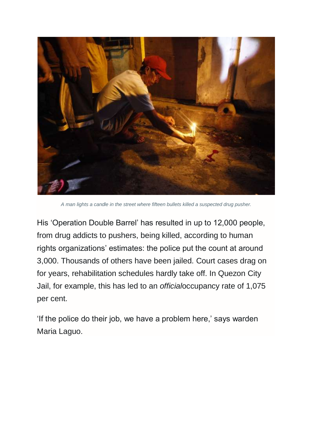

*A man lights a candle in the street where fifteen bullets killed a suspected drug pusher.*

His 'Operation Double Barrel' has resulted in up to 12,000 people, from drug addicts to pushers, being killed, according to human rights organizations' estimates: the police put the count at around 3,000. Thousands of others have been jailed. Court cases drag on for years, rehabilitation schedules hardly take off. In Quezon City Jail, for example, this has led to an *official*occupancy rate of 1,075 per cent.

'If the police do their job, we have a problem here,' says warden Maria Laguo.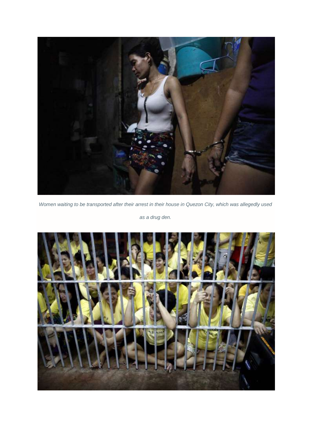

*Women waiting to be transported after their arrest in their house in Quezon City, which was allegedly used* 

*as a drug den.*

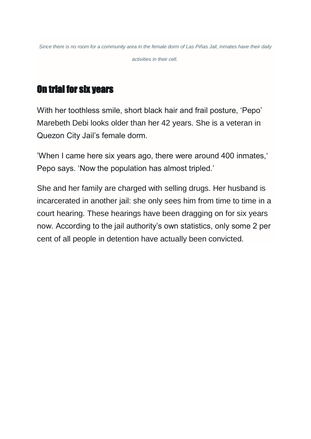*Since there is no room for a community area in the female dorm of Las Piñas Jail, inmates have their daily activities in their cell.*

# On trial for six years

With her toothless smile, short black hair and frail posture, 'Pepo' Marebeth Debi looks older than her 42 years. She is a veteran in Quezon City Jail's female dorm.

'When I came here six years ago, there were around 400 inmates,' Pepo says. 'Now the population has almost tripled.'

She and her family are charged with selling drugs. Her husband is incarcerated in another jail: she only sees him from time to time in a court hearing. These hearings have been dragging on for six years now. According to the jail authority's own statistics, only some 2 per cent of all people in detention have actually been convicted.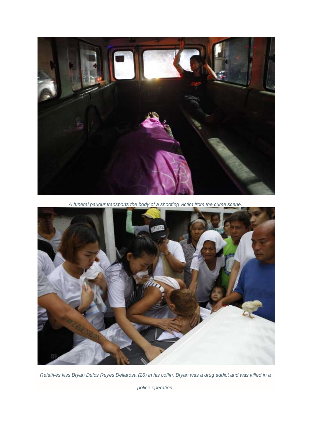

*A funeral parlour transports the body of a shooting victim from the crime scene.*



*Relatives kiss Bryan Delos Reyes Dellarosa (26) in his coffin. Bryan was a drug addict and was killed in a* 

*police operation.*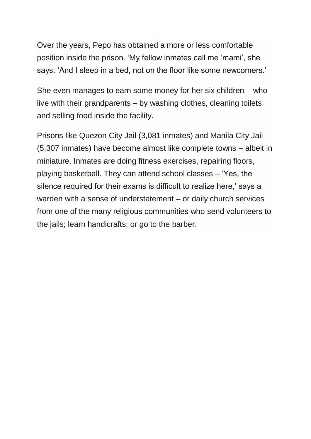Over the years, Pepo has obtained a more or less comfortable position inside the prison. 'My fellow inmates call me 'mami', she says. 'And I sleep in a bed, not on the floor like some newcomers.'

She even manages to earn some money for her six children – who live with their grandparents – by washing clothes, cleaning toilets and selling food inside the facility.

Prisons like Quezon City Jail (3,081 inmates) and Manila City Jail (5,307 inmates) have become almost like complete towns – albeit in miniature. Inmates are doing fitness exercises, repairing floors, playing basketball. They can attend school classes – 'Yes, the silence required for their exams is difficult to realize here,' says a warden with a sense of understatement – or daily church services from one of the many religious communities who send volunteers to the jails; learn handicrafts; or go to the barber.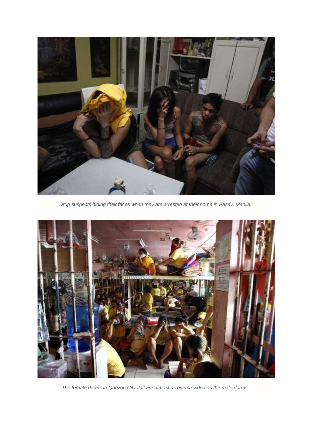

*Drug suspects hiding their faces when they are arrested at their home in Pasay, Manila.*



*The female dorms in Quezon City Jail are almost as overcrowded as the male dorms.*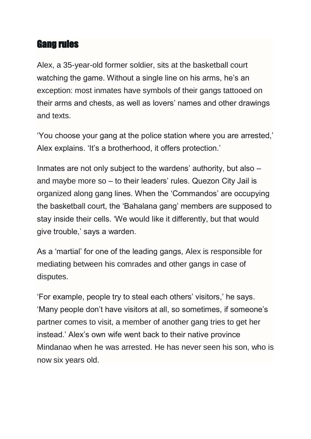### Gang rules

Alex, a 35-year-old former soldier, sits at the basketball court watching the game. Without a single line on his arms, he's an exception: most inmates have symbols of their gangs tattooed on their arms and chests, as well as lovers' names and other drawings and texts.

'You choose your gang at the police station where you are arrested,' Alex explains. 'It's a brotherhood, it offers protection.'

Inmates are not only subject to the wardens' authority, but also – and maybe more so – to their leaders' rules. Quezon City Jail is organized along gang lines. When the 'Commandos' are occupying the basketball court, the 'Bahalana gang' members are supposed to stay inside their cells. 'We would like it differently, but that would give trouble,' says a warden.

As a 'martial' for one of the leading gangs, Alex is responsible for mediating between his comrades and other gangs in case of disputes.

'For example, people try to steal each others' visitors,' he says. 'Many people don't have visitors at all, so sometimes, if someone's partner comes to visit, a member of another gang tries to get her instead.' Alex's own wife went back to their native province Mindanao when he was arrested. He has never seen his son, who is now six years old.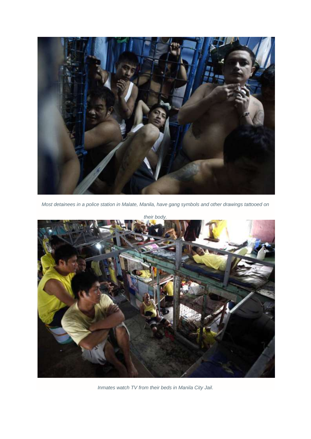

*Most detainees in a police station in Malate, Manila, have gang symbols and other drawings tattooed on* 



*Inmates watch TV from their beds in Manila City Jail.*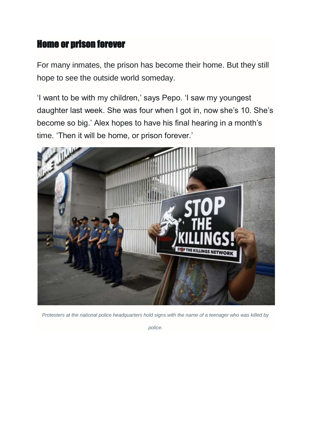## Home or prison forever

For many inmates, the prison has become their home. But they still hope to see the outside world someday.

'I want to be with my children,' says Pepo. 'I saw my youngest daughter last week. She was four when I got in, now she's 10. She's become so big.' Alex hopes to have his final hearing in a month's time. 'Then it will be home, or prison forever.'



*Protesters at the national police headquarters hold signs with the name of a teenager who was killed by* 

*police.*